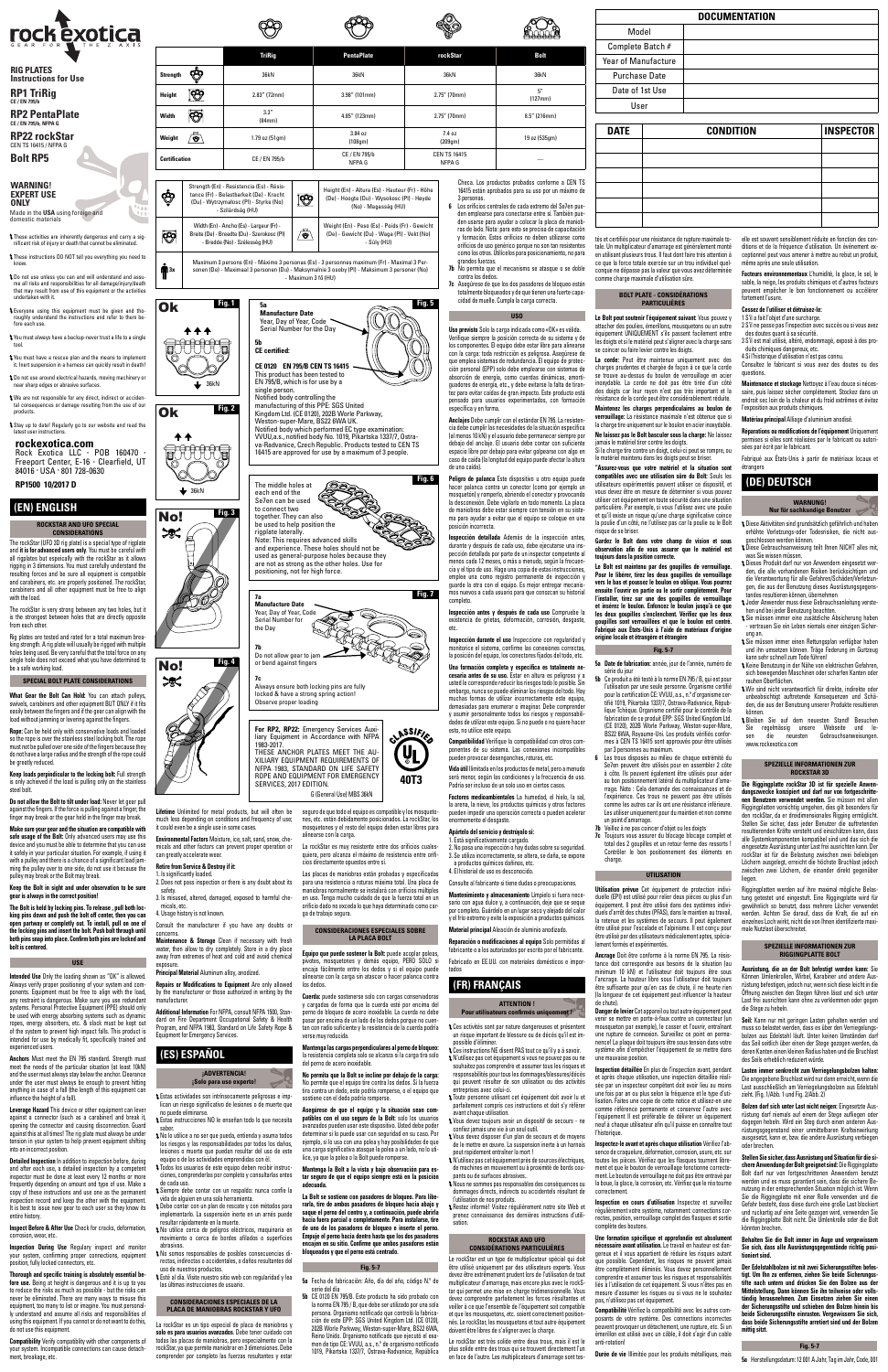**6** Los orificios centrales de cada extremo del Se7en pueden emplearse para conectarse entre sí. También pue-den usarse para ayudar a colocar la placa de maniob-ras de lado. Nota: para esto se precisa de capacitación y formación. Estos orificios no deben utilizarse como orificios de uso genérico porque no son tan resistentes como los otros. Utilícelos para posicionamiento, no para grandes fuerzas.

**7b** No permita que el mecanismo se atasque o se doble contra los dedos.

**7c** Asegúrese de que los dos pasadores de bloqueo están totalmente bloqueados y de que tienen una fuerte capa-cidad de muelle. Cumpla la carga correcta.

# **USO**

**Uso previsto** Solo la carga indicada como «OK» es válida. Verifique siempre la posición correcta de su sistema y de los componentes. El equipo debe estar libre para alinearse con la carga: toda restricción es peligrosa. Asegúrese de que emplea sistemas de redundancia. El equipo de protección personal (EPP) solo debe emplearse con sistemas de absorción de energía, como cuerdas dinámicas, amortiguadores de energía, etc., y debe evitarse la falta de tirantez para evitar caídas de gran impacto. Este producto está pensado para usuarios experimentados, con formación específica y en forma.

**Anclajes** Debe cumplir con el estándar EN 795. La resistencia debe cumplir las necesidades de la situación específica (al menos 10 kN) y el usuario debe permanecer siempre por del anclaje. El usuario debe contar con suficiente espacio libre por debajo para evitar golpearse con algo en caso de caída (la longitud del equipo puede afectar la altura de una caída).

**Peligro de palanca** Este dispositivo u otro equipo puede hacer palanca contra un conector (como por ejemplo un mosquetón) y romperlo, abriendo el conector y provocando la desconexión. Debe vigilarlo en todo momento. La placa de maniobras debe estar siempre con tensión en su sistema para ayudar a evitar que el equipo se coloque en una posición incorrecta.

**Inspección detallada** Además de la inspección antes, durante y después de cada uso, debe ejecutarse una inspección detallada por parte de un inspector competente al menos cada 12 meses, o más a menudo, según la frecuencia y el tipo de uso. Haga una copia de estas instrucciones, emplee una como registro permanente de inspección y guarde la otra con el equipo. Es mejor entregar mecanismos nuevos a cada usuario para que conozcan su historial completo.

possible d'éliminer. Ces instructions NE disent PAS tout ce qu'il y a à savoir. N'utilisez pas cet équipement si vous ne pouvez pas ou ne souhaitez pas comprendre et assumer tous les risques et responsabilités pour tous les dommages/blessures/décès peuvent résulter de son utilisation ou des activités treprises avec celui-ci.

**Inspección antes y después de cada uso** Compruebe la existencia de grietas, deformación, corrosión, desgaste, etc.

**Inspección durante el uso** Inspeccione con regularidad y monitorice el sistema, confirme las conexiones correctas, la posición del equipo, los conectores fijados del todo, etc.

omse jamais ans vis a an sear saai.<br>ous devez disposer d'un plan de secours et de movens de le mettre en œuvre. La suspension inerte à un harnais peut rapidement entraîner la mort !

**Una formación completa y específica es totalmente ne-cesaria antes de su uso.** Estar en altura es peligroso y a usted le corresponde reducir los riesgos todo lo posible. Sin embargo, nunca se puede eliminar los riesgos del todo. Hay muchas formas de utilizar incorrectamente este equipo, demasiadas para enumerar o imaginar. Debe comprender y asumir personalmente todos los riesgos y responsabilidades de utilizar este equipo. Si no puede o no quiere hacer esto, no utilice este equipo.

Le rockStar est un type de multiplicateur spécial qui doit être utilisé uniquement par des utilisateurs experts. devez être extrêmement prudent lors de l'utilisation de tout multiplicateur d'amarrage, mais encore plus avec le rockStar qui permet une mise en charge tridimensionnelle. Vous devez comprendre parfaitement les forces résultantes et veiller à ce que l'ensemble de l'équipement soit compatible usquetons, etc. soient correctement position nés. Le rockStar, les mousquetons et tout autre équipement doivent être libres de s'aligner avec la charge.

**Compatibilidad** Verifique la compatibilidad con otros com-ponentes de su sistema. Las conexiones incompatibles pueden provocar desenganches, roturas, etc.

**Vida útil** Ilimitada en los productos de metal, pero a menudo será menor, según las condiciones y la frecuencia de uso. Podría ser incluso de un solo uso en ciertos casos.

Le Bolt peut soutenir l'équipement suivant: Vous pouvez y<br>attacher des poulies, émerillons, mousquetons ou un autre attacher des poulies, émerillons, mousquetons ou un autre équipement UNIQUEMENT s'ils passent facilement entre les doigts et si le matériel peut s'aligner avec la charge sans se coincer ou faire levier contre les doigts.

**Factores medioambientales** La humedad, el hielo, la sal, la arena, la nieve, los productos químicos y otros factores pueden impedir una operación correcta o pueden acelerar enormemente el desgaste.

## **Apártelo del servicio y destrúyalo si:**

# 1. Está significativamente cargado. 2. No pasa una inspección o hay dudas sobre su seguridad.

La corde: Peut être maintenue uniquement avec charges prudentes et chargée de façon à ce que la corde se trouve au-dessus du boulon de verrouillage en acier incept de corde ne doit pas être tirée d'un côté des doigts car leur rayon n'est pas très important et la résistance de la corde peut être considérablement réduite. **Maintenez les charges perpendiculaires au boulon de verrouillage:** La résistance maximale n'est obtenue que si

la charge tire uniquement sur le boulon en acier inoxydable. **Ne laissez pas le Bolt basculer sous la charge:** Ne laissez

3. Se utiliza incorrectamente, se altera, se daña, se expone a productos químicos dañinos, etc.

4. El historial de uso es desconocido.

Consulte al fabricante si tiene dudas o preocupaciones.

**Mantenimiento y almacenamiento** Límpielo si fuera necesario con agua dulce y, a continuación, deje que se seque por completo. Guárdelo en un lugar seco y alejado del calor

y el frío extremo y evite la exposición a productos químicos. **Material principal** Aleación de aluminio anodizado.

Gardez le Bolt dans votre champ de vision et s **observation afin de vous assurer que le matériel est toujours dans la position correcte.** 

**Reparación o modificaciones al equipo** Solo permitidas al fabricante o a los autorizados por escrito por el fabricante.

Fabricado en EE.UU. con materiales domésticos e impor-

tados

## **(FR) FRANÇAIS**

#### **Pour utilisateurs confirmés uniquement !**

Ces activités sont par nature dangereuses et présentent un risque important de blessure ou de décès qu'il est im-

Toute personne utilisant cet équipement doit avoir lu et parfaitement compris ces instructions et doit s'y référer avant chaque utilisation.

Vous devez toujours avoir un dispositif de secours - ne confiez jamais une vie à un seul outil.

**Ancrage** Doit être conforme à la norme EN 795. La résistance doit correspondre aux besoins de la situation (au<br>minimum 10 kN) et l'utilisateur doit toujours être sous<br>l'ancrage. La hauteur libre sous l'utilisateur doit toujours être suffisante pour qu'en cas de chute, il ne heurte rien ongueur de cet équipement peut influencer la hauteur

N'utilisez pas cet équipement près de sources électriques, de machines en mouvement ou à proximité de bords coupants ou de surfaces abrasives.. Nous ne sommes pas responsables des conséquences ou

dommages directs, indirects ou accidentels résultant de l'utilisation de nos produits.

**Danger de levier** Cet appareil ou tout autre équipe venir se mettre en porte-à-faux contre un connecteur (un

Restez informé! Visitez régulièrement notre site Web et prenez connaissance des dernières instructions d'utilisation.

**Inspection détaillée** En plus de l'inspection avant, pendant et après chaque utilisation, une inspection détaillée réalisée propriet chaque demonstration aux moppositions availed to aux moins une fois par an ou plus selon la fréquence et le type d'utilisation. Faites une copie de cette notice et utilisez-en une comme référence permanente et conservez l'autre avec l'équipement Il est préférable de délivrer un équipement neuf à chaque utilisateur afin qu'il puisse en connaître tout l'historique

#### **ROCKSTAR AND UFO CONSIDÉRATIONS PARTICULIÈRES**

Le rockStar est très solide entre deux trous, mais il est le plus solide entre des trous qui se trouvent directement l'un en face de l'autre. Les multiplicateurs d'amarrage sont testés et certifiés pour une résistance de rupture maximale totale. Un multiplicateur d'amarrage est généralement monté en utilisant plusieurs trous. Il faut dont faire très attention à ce que la force totale exercée sur un trou individuel quelconque ne dépasse pas la valeur que vous avez déterminée comme charge maximale d'utilisation sûre.

**Facteurs environnementaux** L'humidité, la glace, le sel, le<br>sable, la neige, les produits chimiques et d'autres facteurs<br>peuvent empêcher le bon fonctionnement ou accélérer fortement l'usure.

# **BOLT PLATE - CONSIDÉRATIONS PARTICULIÈRES**

1 S'il a fait l'obiet d'une surcharge. 2 S'il ne passe pas l'inspection avec succès ou si vous avez des doutes quant à sa sécurité. 3 S'il est mal utilisé, altéré, endommagé, exposé à des pro-

**ATTENTION !**  de chute).

**SPEZIELLE INFORMATIONEN ZUR ROCKSTAR 3D Die Riggingplatte rockStar 3D ist für spezielle Anwendungszwecke konzipiert und darf nur von fortgeschrittenen Benutzern verwendet werden.** Sie müssen mit allen Riggingplatten vorsichtig umgehen, dies gilt besonders für den rockStar, da er dreidimensionales Rigging ermöglicht. Stellen Sie sicher, dass jeder Benutzer die auftretenden resultierenden Kräfte versteht und einschätzen kann, dass alle Systemkomponenten kompatibel sind und das sich die eingesetzte Ausrüstung unter Last frei ausrichten kann. Der rockStar ist für die Belastung zwischen zwei beliebigen Löchern ausgelegt, erreicht die höchste Bruchlast jedoch wischen zwei Löchern, die einander direkt gegenübe

**"Assurez-vous que votre matériel et la situation sont compatibles avec une utilisation sûre du Bolt:** Seuls les utilisateurs expérimentés peuvent utiliser ce dispositif, et vous devez être en mesure de déterminer si vous pouvez utiliser cet équipement en toute sécurité dans une situation particulière. Par exemple, si vous l'utilisez avec une poulie et qu'il existe un risque qu'une charge significative coince la poulie d'un côté, ne l'utilisez pas car la poulie ou le Bolt risque de se briser.

> Riggingplatten werden auf ihre maximal mögliche Belastung getestet und eingestuft. Eine Riggingplatte wird für gewöhnlich so benutzt, dass mehrere Löcher verwendet werden. Achten Sie darauf, dass die Kraft, die auf ein einzelnes Loch wirkt, nicht die von Ihnen identifizierte maxi-

> **SPEZIELLE INFORMATIONEN ZUR RIGGINGPLATTE BOLT Ausrüstung, die an der Bolt befestigt werden kann:** Sie Können Umlenkrollen, Wirbel, Karabiner und andere Ausrüstung befestigen, jedoch nur, wenn sich diese leicht in die Öffnung zwischen den Stegen führen lässt und sich unter Last frei ausrichten kann ohne zu verklemmen oder gegen

> Seil: Kann nur mit geringen Lasten gehalten werden und muss so belastet werden, dass es über den Verriegelungs-bolzen aus Edelstahl läuft. Unter keinen Umständen darf das Seil seitlich über einen der Stege gezogen werden, da deren Kanten einen kleinen Radius haben und die Bruchlast des Seils erheblich reduziert würde.

**Le Bolt est maintenu par des goupilles de verrouillage. Pour le libérer, tirez les deux goupilles de verrouillage vers le bas et poussez le boulon en oblique. Vous pourrez ensuite l'ouvrir en partie ou le sortir complètement. Pour l'installer, tirez sur une des goupilles de verrouillage et insérez le boulon. Enfoncez le boulon jusqu'à ce que les deux goupilles s'enclenchent. Vérifiez que les deux goupilles sont verrouillées et que le boulon est centré. Fabriqué aux États-Unis à l'aide de matériaux d'origine origine locale et étrangère et étrangère**

## **Fig. 5-7**

- **5a Date de fabrication:** année, jour de l'année, numéro de série du jour
- **5b** Ce produit a été testé à la norme EN 795 / B, qui est po l'utilisation par une seule personne. Organisme certifié pour la certification CE: VVUU, a.s., n.º d'organisme cer-tifié 1019, Pikartska 1337/7, Ostrava-Radvanice, Répub-lique Tchèque. Organisme certifié pour le contrôle de la fabrication de ce produit EPP: SGS United Kingdom Ltd. (CE 0120), 202B Worle Parkway, Weston-super-Mare, BS22 6WA, Royaume-Uni. Les produits vérifiés conformes à CEN TS 16415 sont approuvés pour être utilisés
- par 3 personnes au maximum. **6** Les trous disposés au milieu de chaque extrémité du Se7en peuvent être utilisés pour en assembler 2 côte à côte. Ils peuvent également être utilisés pour aider au bon positionnement latéral du multiplicateur d'amarrage. Note : Cela demande des connaissances et de l'expérience. Ces trous ne peuvent pas être utilisés comme les autres car ils ont une résistance inférieure. Les utiliser uniquement pour du maintien et non comme un point d'amarrage.
- **7b** Veillez à ne pas coincer d'objet ou les doigts
- **7c** Toujours vous assurer du blocage blocage complet et total des 2 goupilles et un retour ferme des ressorts ! Contrôler le bon positionnement des éléments en charge.

### **UTILISATION**

The rockStar (UFO 3D rig plate) is a special type of rigplate<br>and **it is for advanced users only**. You must be careful with<br>all rigplates but espeically with the rockStar as it allows rigging in 3 dimensions. You must carefully understand the resulting forces and be sure all equipment is compatible and carabiners, etc. are properly positioned. The rockStar, carabiners and all other equipment must be free to align with the load.

What Gear the Bolt Can Hold: You can attach swivels, carabiners and other equipment BUT ONLY if it fits easily between the fingers and if the gear can align with the load without jamming or levering against the fingers.

> **Utilisation prévue** Cet équipement de protection individuelle (EPI) est utilisé pour relier deux pièces ou plus d'un équipement. Il peut être utilisé dans des systèmes individuels d'arrêt des chutes (PFAS), dans le maintien au travail, la retenue et les systèmes de secours. Il peut également être utilisé pour l'escalade et l'alpinisme. Il est conçu pour être utilisé par des utilisateurs médicalement aptes, spécialement formés et expérimentés.

jamais le matériel tirer contre les doigts. Si la charge tire contre un doigt, celui-ci peut se rompre, ou le matériel maintenu dans les doigts peut se briser. Fabriqué aux États-Unis à partir de matériaux locaux et

mousqueton par exemple), le casser et l'ouvrir, entraînant une rupture de connexion. Surveillez ce point en permanence! La plaque doit toujours être sous tension dans votre système afin d'empêcher l'équipement de se mettre dans une mauvaise position.

**Inspection During Use** Regulary inspect and monitor your system, confirming proper connections, equipment position, fully locked connectors, etc.

**Inspectez-le avant et après chaque utilisation** Vérifiez l'absence de craquelure, déformation, corrosion, usure, etc. sur toutes les pièces. Vérifiez que les flasques tournent librement et que le bouton de verrouillage fonctionne correctement. Le bouton de verrouillage ne doit pas être entravé par la boue, la glace, la corrosion, etc. Vérifiez que le réa tourne correctement.

**Inspection en cours d'utilisation** Inspectez et surveillez régulièrement votre système, notamment: connections cor-rectes, position, verrouillage complet des flasques et sortie complète des boutons.

**Une formation spécifique et approfondie est absolument nécessaire avant utilisation.** Le travail en hauteur est dangereux et il vous appartient de réduire les risques autant que possible. Cependant, les risques ne peuvent jamais être complètement éliminés. Vous devez personnellement comprendre et assumer tous les risques et responsabilités liés à l'utilisation de cet équipement. Si vous n'êtes pas en mesure d'assumer les risques ou si vous ne le souhaitez pas, n'utilisez pas cet équipement.

can greatly accelerate wear. **Retire from Service & Destroy if it:** . Is significantly loaded.

> **Compatibilité** Vérifiez la compatibilité avec les autres composants de votre système. Des connections incorrectes peuvent provoquer un détachement, une rupture, etc. Si un émerillon est utilisé avec un câble, il doit s'agir d'un cable anti-rotation!

**Additional Information** Standard on Fire Department Occupational Safety & Health Program, and NFPA 1983, Standard on Life Safety Rope & Equipment for Emergency Services.

**Durée de vie** Illimitée pour les produits métalliques, mais

die Stege zu hebeln.<br>Belge zu hebeln.

elle est souvent sensiblement réduite en fonction des conditions et de la fréquence d'utilisation. Un événement exceptionnel peut vous amener à mettre au rebut un produit, même après une seule utilisation.

## **Cessez de l'utiliser et détruisez-le:**

La rockStar es un tipo especial de placa de maniobras y **solo es para usuarios avanzados**. Debe tener cuidado con todas las placas de maniobras, pero especialmente con la rockStar, ya que permite maniobrar en 3 dimensiones. Debe comprender por completo las fuerzas resultantes y estar

duits chimiques dangereux, etc. 4 Si l'historique d'utilisation n'est pas connu. Consultez le fabricant si vous avez des doutes ou des

questions.

**Maintenance et stockage** Nettoyez à l'eau douce si nécessaire, puis laissez sécher complètement. Stockez dans un endroit sec loin de la chaleur et du froid extrêmes et évitez

im 3 persons (En) - Máximo 3 personas (Es) - 3 personnes maximum (Fr) - Maximal 3 Per sonen (De) - Maximaal 3 personen (Du) - Maksymalnie 3 osoby (Pl) - Maksimum 3 personer (No) - Maximum 3 fő (HU)

(Du) - Wytrz

Width (En) Breite (De) - I - Bredd

 $\overline{\bullet}$  36kN

444 2000015

> l'exposition aux produits chimiques. **Matériau principal** Alliage d'aluminium anodisé. **Réparations ou modifications de l'équipement** Uniquement permises si elles sont réalisées par le fabricant ou autori-sées par écrit par le fabricant.

NC Year, Day of Year, Code Serial Number for the Day **5b CE certified: CE 0120 EN 795/B CEN TS 16415** This product has been tested to EN 795/B, which is for use by a ingle person. Notified body controlling the manufacturing of this PPE: SGS United Kingdom Ltd. (CE 0120), 202B Worle Parkway, **Fig. 2** Weston-super-Mare, BS22 6WA UK. Notified body which performed EC type examination: VVUU,a.s., notified body No. 1019, Pikartska 1337/7, Ostra-va-Radvanice, Czech Republic. Products tested to CEN TS 16415 are approved for use by a maximum of 3 people. The middle holes at<br>each end of the<br>Se7en can be used<br>on two salso **Fig. 6** each end of the Se7en can be used to connect two **Fig. 3**

étrangers

**(DE) DEUTSCH**

**WARNUNG! Nur für sachkundige Benutzer** Diese Aktivitäten sind grundsätzlich gefährlich und haben erhöhte Verletzungs-oder Todesrisiken, die nicht aus-

geschlossen werden können.

Diese Gebrauchsanweisung teilt Ihnen NICHT alles mit,

was Sie wissen müssen.

Dieses Produkt darf nur von Anwendern eingesetzt werden, die alle vorhandenen Risiken berücksichtigen und die Verantwortung für alle Gefahren/Schäden/Verletzungen, die aus der Benutzung dieses Ausrüstungsgegenstandes resultieren können, übernehmen Jeder Anwender muss diese Gebrauchsanleitung verstehen und bei jeder Benutzung beachten. Sie müssen immer eine zusätzliche Absicherung haben - vertrauen Sie ein Leben niemals einer einzigen Sicher-

ung an.

Sie müssen immer einen Rettungsplan verfügbar haben und ihn umsetzen können. Träge Federung im Gurtzeug

kann sehr schnell zum Tode führen!

Keine Benutzung in der Nähe von elektrischen Gefahren, sich bewegenden Maschinen oder scharfen Kanten oder

rauhen Oberflächen.

Wir sind nicht verantwortlich für direkte, indirekte oder unbeabsichtigt auftretende Konsequenzen und Schäden, die aus der Benutzung unserer Produkte resultieren können. Bleiben Sie auf dem neuesten Stand! Besuchen Sie regelmässig unsere Webseite und le-sen die neuesten Gebrauchsanweisungen.

www.rockexotica.com

**No permita que la Bolt se incline por debajo de la carga:**  n permite que el equipo tire contra los dedos. Si la fue tira contra un dedo, este podría romperse, o el equipo que sostiene con el dedo podría romperse

liegen.

male Nutzlast überschreitet.

**Lasten immer senkrecht zum Verriegelungsbolzen halten:** Die angegebene Bruchlast wird nur dann erreicht, wenn die Last ausschließlich am Verriegelungsbolzen aus Edelstahl zieht. (Fig. 1/Abb. 1 und Fig. 2/Abb. 2)

**Bolzen darf sich unter Last nicht neigen:** Eingesetzte Ausrüstung darf niemals auf einem der Stege aufliegen oder dagegen hebeln. Wird ein Steg durch einen anderen Ausrüstungsgegenstand einer unmittelbaren Krafteinwirkung ausgesetzt, kann er, bzw. die andere Ausrüstung verbiegen oder brechen.

**Stellen Sie sicher, dass Ausrüstung und Situation für die sichere Anwendung der Bolt geeignet sind:** Die Riggingplatte Bolt darf nur von fortgeschr werden und es muss garantiert sein, dass die sichere Benutzung in der entsprechenden Situation möglich ist. Wenn Riggingplatte mit einer Rolle verwenden und die Gefahr besteht, dass diese durch eine große Last blockiert und ruckartig auf eine Seite gezogen wird, verwenden Sie die Riggingplatte Bolt nicht. Die Umlenkrolle oder die Bolt könnten brechen.

**Behalten Sie die Bolt immer im Auge und vergewissern Sie sich, dass alle Ausrüstungsgegenstände richtig positioniert sind.**

**Der Edelstahlbolzen ist mit zwei Sicherungsstiften befes-tigt. Um Ihn zu entfernen, ziehen Sie beide Sicherungss-tifte nach untern und drücken Sie den Bolzen aus der Mittelstellung. Dann können Sie ihn teilweise oder vollständig herausnehmen. Zum Einsetzen ziehen Sie einen der Sicherungsstifte und schieben den Bolzen hinein bis beide Sicherungsstifte einrasten. Vergewissern Sie sich, dass beide Sicherungsstifte arretiert sind und der Bolzen mittig sitzt.**

**Fig. 5-7**

**5a** Herstellungsdatum: 12 001 A Jahr, Tag im Jahr, Code, 001

## **(EN) ENGLISH**

#### **ROCKSTAR AND UFO SPECIAL CONSIDERATIONS**

The rockStar is very strong between any two holes, but it is the strongest between holes that are directly opposite from each other.

Rig plates are tested and rated for a total maximum breaking strength. A rig plate will usually be rigged with multiple holes being used. Be very careful that the total force on any single hole does not exceed what you have determined to be a safe working load.

**SPECIAL BOLT PLATE CONSIDERATIONS**

**Rope:** Can be held only with conservative loads and loaded so the rope is over the stainless steel locking bolt. The rope must not be pulled over one side of the fingers because they do not have a large radius and the strength of the rope could be greatly reduced.

**Keep loads perpindicular to the locking bolt:** Full strength is only achieved if the load is pulling only on the stainless steel bolt.

**Do not allow the Bolt to tilt under load:** Never let gear pull against the fingers. If the force is pulling against a finger, the finger may break or the gear held in the finger may break.

**Make sure your gear and the situation are compatible with safe usage of the Bolt:** Only advanced users may use this device and you must be able to determine that you can use it safely in your particular situation. For example, if using it with a pulley and there is a chance of a significant load ja ming the pulley over to one side, do not use it because the pulley may break or the Bolt may break.

**Keep the Bolt in sight and under observation to be sure gear is always in the correct position!**

### **USE**

**Intended Use** Only the loading shown as "OK" is allowed. Always verify proper positioning of your system and com-ponents. Equipment must be free to align with the load, any restraint is dangerous. Make sure you use redundant systems. Personal Protective Equipment (PPE) should only be used with energy absorbing systems such as dynamic ropes, energy absorbers, etc. & slack must be kept out of the system to prevent high impact falls. This product is intended for use by medically fit, specifically trained and experienced users.

**Anchors** Must meet the EN 795 standard. Strength must meet the needs of the particular situation (at least 10kN) and the user must always stay below the anchor. Clearance under the user must always be enough to prevent hitting anything in case of a fall (the length of this equipment can influence the height of a fall).

**Leverage Hazard** This device or other equipment can lever against a connector (such as a carabiner) and break it, opening the connector and causing disconnection. Guard against this at all times! The rig plate must always be under tension in your system to help prevent equipment shifting into an incorrect position.

**Detailed Inspection** In addition to inspection before, during and after each use, a detailed inspection by a competent inspector must be done at least every 12 months o frequently depending on amount and type of use. Make a copy of these instructions and use one as the permanent inspection record and keep the other with the equipment. It is best to issue new gear to each user so they know its entire history.

**Inspect Before & After Use** Check for cracks, deformation, corrosion, wear, etc.

**The Bolt is held by locking pins. To release , pull both locking pins down and push the bolt off center, then you can open partway or completly out. To install, pull on one of the locking pins and insert the bolt. Push bolt through until both pins snap into place. Confirm both pins are locked and bolt is centered.** 3. Is misused, altered, damaged, exposed to harmful che-4. Usage history is not known. Consult the manufacturer if you have any doubts or

**Thorough and specific training is absolutely essential before use.** Being at height is dangerous and it is up to you to reduce the risks as much as possible - but the risks  $c$ and  $c$ never be eliminated. There are many ways to misuse the equipment, too many to list or imagine. You must personally understand and assume all risks and responsibilities of using this equipment. If you cannot or do not want to do this, do not use this equipment.

**Compatibility** Verify compatiblity with other components of your system. Incompatible connections can cause detachment, breakage, etc.

These activities are inherently dangerous and carry a sig-nificant risk of injury or death that cannot be eliminated.

These instructions DO NOT tell you everything you need to know.

Do not use unless you can and will understand and assume all risks and responsibilities for all damage/injury/death that may result from use of this equipment or the activities undertaken with it.

Everyone using this equipment must be given and thoroughly understand the instructions and refer to them be-fore each use.

You must always have a backup-never trust a life to a single tool.

You must have a rescue plan and the means to implement it. Inert suspension in a harness can quickly result in death!

Do not use around electrical hazards, moving machinery or near sharp edges or abrasive surfaces.

We are not responsible for any direct, indirect or accidental consequences or damage resulting from the use of our products.

Stay up to date! Regularly go to our website and read the latest user instructions.

**RP1 TriRig**

**CE / EN 795/b RP2 PentaPlate**

**CE / EN 795/b, NFPA G RP22 rockStar**

CEN TS 16415 / NFPA G **Bolt RP5**

## **WARNING! EXPERT USE**



# **RIG PLATES Instructions for Use**

**ONLY** Made in the **USA** using foreign and domestic materials

## **rockexotica.com**

Rock Exotica LLC **·** POB 160470 **·** Freeport Center, E-16 **·** Clearfield, UT 84016 **·** USA **·** 801 728-0630

**RP1500 10/2017 D**

it could even be a single use in some cases.

2. Does not pass inspection or there is any doubt about its

safety.

micals, etc.

concerns.

**Maintenance & Storage** Clean if necessary with fresh water, then allow to dry completely. Store in a dry place away from extremes of heat and cold and avoid chemical exposure. **Principal Material** Aluminum alloy, anodized.

**Repairs or Modifications to Equipment** Are only allowed by the manufacturer or those authorized in writing by the

manufacturer.

# **(ES) ESPAÑOL**

# **¡ADVERTENCIA! ¡Solo para uso experto!**

Estas actividades son intrínsecamente peligrosas e implican un riesgo significativo de lesiones o de muerte que no puede eliminarse.

Estas instrucciones NO le enseñan todo lo que necesita saber.

No lo utilice a no ser que pueda, entienda y asuma todos los riesgos y las responsabilidades por todos los daños, lesiones o muerte que puedan resultar del uso de este equipo o de las actividades emprendidas con él. Todos los usuarios de este equipo deben recibir instrucciones, comprenderlas por completo y consultarlas antes de cada uso.

Siempre debe contar con un respaldo: nunca confíe la vida de alguien en una sola herramienta. Debe contar con un plan de rescate y con métodos para

implementarlo. La suspensión inerte en un arnés puede resultar rápidamente en la muerte.

No utilice cerca de peligros eléctricos, maquinaria en movimiento o cerca de bordes afilados o superficies abrasivas.

No somos responsables de posibles consecuencias directas, indirectas o accidentales, o daños resultantes del uso de nuestros productos.

Esté al día. Visite nuestro sitio web con regularidad y lea las últimas instrucciones de usuario.

# **CONSIDERACIONES ESPECIALES DE LA PLACA DE MANIOBRAS ROCKSTAR Y UFO**

**DOCUMENTATION**

Model Complete Batch # Year of Manufacture Purchase Date

**Lifetime** Unlimited for metal products, but will often be much less depending on conditions and frequency of use; **Environmental Factors** Moisture, ice, salt, sand, snow, chemicals and other factors can prevent proper operation or seguro de que todo el equipo es compatible y los mosqueto-nes, etc. están debidamente posicionados. La rockStar, los mosquetones y el resto del equipo deben estar libres para alinearse con la carga.

User

Date of 1st Use **DATE CONDITION INSPECTOR**

| n) - Resistencia (Es) - Rèsis-<br>· Belastbarkeit (De) - Kracht<br>rzymałosc (PI) - Styrke (No)<br>- Szilárdság (HU) |         | Height (En) - Altura (Es) - Hauteur (Fr) - Höhe<br>(De) - Hoogte (Du) - Wysokosc (PI) - Høyde<br>(No) - Magasság (HU) |
|----------------------------------------------------------------------------------------------------------------------|---------|-----------------------------------------------------------------------------------------------------------------------|
| ) - Ancho (Es) - Largeur (Fr) -<br>Breedte (Du) - Szerokosc (PI)<br>de (No) - Szélesséa (HU)                         | m.<br>ø | Weight (En) - Peso (Es) - Poids (Fr) - Gewicht<br>(De) - Gewicht (Du) - Waga (PI) - Vekt (No)<br>- Súlv (HU)          |
|                                                                                                                      |         |                                                                                                                       |

|               |                                                                                                        | TriRig          | <b>PentaPlate</b>                               | rockStar                      | Bolt                                                                              |  |
|---------------|--------------------------------------------------------------------------------------------------------|-----------------|-------------------------------------------------|-------------------------------|-----------------------------------------------------------------------------------|--|
| Strength      | අතු                                                                                                    | 36kN            | 36kN                                            | 36kN                          | 36kN                                                                              |  |
| Height        | $\circledcirc$                                                                                         | 2.83" (72mm)    | 3.98" (101mm)                                   | 2.75" (70mm)                  | 5"<br>(127mm)                                                                     |  |
| Width         | ಳಿ                                                                                                     | 3.3''<br>(84mm) | 4.85" (123mm)                                   | 2.75" (70mm)                  | 8.5" (216mm)                                                                      |  |
| Weight        | o.<br>$\mathbf{e}$                                                                                     | 1.79 oz (51gm)  | 3.84 oz<br>(108gm)                              | 7.4 oz<br>(209gm)             | 19 oz (535gm)                                                                     |  |
| Certification |                                                                                                        | CE / EN 795/b   | CE / EN 795/b<br>NFPA G                         | <b>CEN TS 16415</b><br>NFPA G |                                                                                   |  |
|               |                                                                                                        |                 |                                                 |                               |                                                                                   |  |
| rôn           | Strength (En) - Resistencia (Es) - Résis-<br>tance (Fr) - Belastbarkeit (De) - Kracht<br><b>VOIRES</b> |                 | Height (En) - Altura (Es) - Hauteur (Fr) - Höhe |                               | Checa. Los productos probados conform<br>16415 están aprobados para su uso por ur |  |

**Fig. 5**

**Fig. 1**







**5a** 

**Manufacture Date**

 $\blacktriangleright$  36kN

La rockStar es muy resistente entre dos orificios cualesquiera, pero alcanza el máximo de resistencia entre orificios directamente opuestos entre sí.

**VL** 

Las placas de maniobras están probadas y especificadas para una resistencia a roturas máxima total. Una placa de maniobras normalmente se instalará con orificios múltiples en uso. Tenga mucho cuidado de que la fuerza total en un orificio dado no exceda lo que haya determinado como carga de trabajo segura.

# **CONSIDERACIONES ESPECIALES SOBRE LA PLACA BOLT**

**Equipo que puede sostener la Bolt:** puede acoplar poleas, pivotes, mosquetones y demás equipo, PERO SOLO si encaja fácilmente entre los dedos y si el equipo puede alinearse con la carga sin atascar o hacer palanca contra los dedos.

**Cuerda:** puede sostenerse solo con cargas conservadoras

orme a CEN TS 16415 están aprobados para su uso por un máximo de 3 persona

y cargadas de forma que la cuerda esté por encima del perno de bloqueo de acero inoxidable. La cuerda no debe pasar por encima de un lado de los dedos porque no cuentan con radio suficiente y la resistencia de la cuerda podría verse muy reducida.

**Mantenga las cargas perpendiculares al perno de bloqueo:**  la resistencia completa solo se alcanza si la carga tira solo del perno de acero inoxidable.

**Asegúrese de que el equipo y la situación sean compatibles con el uso seguro de la Bolt:** solo los usuarios avanzados pueden usar este dispositivo. Usted debe poder determinar si lo puede usar con seguridad en su caso. Por ejemplo, si lo usa con una polea y hay posibilidades de que na carga significativa atasque la polea a un lado, no lo utilice, ya que la polea o la Bolt puede romperse.

**Mantenga la Bolt a la vista y bajo observación para estar seguro de que el equipo siempre está en la posición adecuada.**

**La Bolt se sostiene con pasadores de bloqueo. Para liberarla, tire de ambos pasadores de bloqueo hacia abajo y saque el perno del centro y, a continuación, puede abrirla hacia fuera parcial o completamente. Para instalarse, tire de uno de los pasadores de bloqueo e inserte el perno. Empuje el perno hacia dentro hasta que los dos pasadores encajen en su sitio. Confirme que ambos pasadores están bloqueados y que el perno está centrado.** 

### **Fig. 5-7 Fig. 3-7**

**5a** Fecha de fabricación: Año, día del año, código N.º de serie del día

**5b** CE 0120 EN 795/B. Este producto ha sido probado con la norma EN 795 / B, que debe ser utilizado por una sola persona. Organismo notificado que controló la fabricación de este EPP: SGS United Kingdom Ltd. (CE 0120), 202B Worle Parkway, Weston-super-Mare, BS22 6WA, Reino Unido. Organismo notificado que ejecutó el examen de tipo CE: VVUU, a.s., n.º de organismo notificado 1019, Pikartska 1337/7, Ostrava-Radvanice, República

No!

 $> 2$ 

Ok

No!

 $>$ 

**Ok** 

**44** 献职师

 $\mathbf{r}$ <sup>3x</sup>

 $\circledcirc$ 

℗